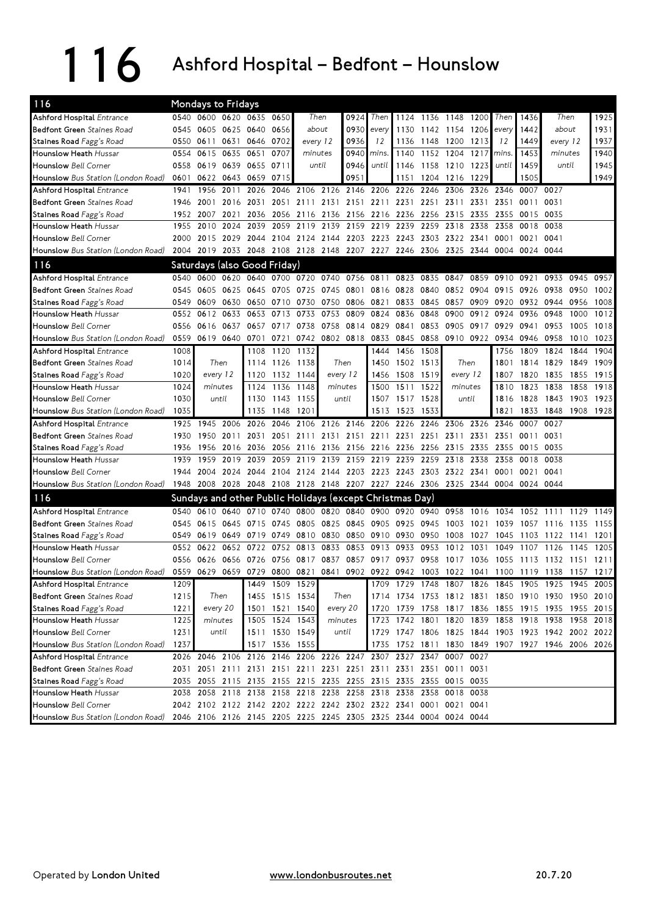116 Ashford Hospital – Bedfont – Hounslow

| 116                                                                                                 | Mondays to Fridays<br>0540 0600 0620 0635 0650 |           |                |                                                                                           |                |                                    |                                    |           |                               |           |           |                     |           |       |           |                                                   |       |      |
|-----------------------------------------------------------------------------------------------------|------------------------------------------------|-----------|----------------|-------------------------------------------------------------------------------------------|----------------|------------------------------------|------------------------------------|-----------|-------------------------------|-----------|-----------|---------------------|-----------|-------|-----------|---------------------------------------------------|-------|------|
| Ashford Hospital Entrance                                                                           |                                                |           |                |                                                                                           |                |                                    | Then                               | 0924      | Then                          |           |           | 1124 1136 1148 1200 |           | Then  | 1436      | Then                                              |       | 1925 |
| <b>Bedfont Green</b> Staines Road                                                                   | 0545                                           |           | 0605 0625 0640 |                                                                                           | 0656           |                                    | about                              | 0930      | every                         | 1130      |           | 1142 1154 1206      |           | every | 1442      | about                                             |       | 1931 |
| Staines Road Fagg's Road                                                                            | 0550                                           | 0611      |                | 0631 0646                                                                                 | 0702           |                                    | every 12                           | 0936      | 12                            | 1136      | 1148 1200 |                     | 1213      | 12    | 1449      | every 12                                          |       | 1937 |
| Hounslow Heath Hussar                                                                               | 0554                                           | 0615      | 0635 0651      |                                                                                           | 0707           | minutes                            |                                    | 0940      | mins.                         | 1140      |           | 1152 1204           | 1217      | mins. | 1453      | minutes                                           |       | 1940 |
| <b>Hounslow</b> Bell Corner                                                                         | 0558                                           | 0619      | 0639 0655      |                                                                                           | 0711           |                                    | until                              | 0946      | until                         | 1146      | 1158      | 1210                | 1223      | until | 1459      |                                                   | until | 1945 |
| Hounslow Bus Station (London Road)                                                                  | 0601                                           |           | 0622 0643 0659 |                                                                                           | 0715           |                                    |                                    | 0951      |                               | 1151      | 1204 1216 |                     | 1229      |       | 1505      |                                                   |       | 1949 |
| Ashford Hospital Entrance                                                                           | 1941                                           | 1956      | 2011           | 2026                                                                                      | 2046           |                                    | 2106 2126 2146 2206                |           |                               | 2226      | 2246      | 2306                | 2326      | 2346  | 0007      | 0027                                              |       |      |
| <b>Bedfont Green</b> Staines Road                                                                   | 1946                                           | 2001      |                | 2016 2031                                                                                 | 2051           |                                    | 2111 2131 2151 2211 2231 2251 2311 |           |                               |           |           |                     | 2331      | 2351  | 0011      | 0031                                              |       |      |
| Staines Road Fagg's Road                                                                            | 1952                                           | 2007      | 2021           | 2036                                                                                      | 2056           |                                    | 2116 2136                          |           | 2156 2216 2236                |           | 2256      | 2315                | 2335      | 2355  | 0015 0035 |                                                   |       |      |
| Hounslow Heath Hussar                                                                               | 1955                                           | 2010      | 2024           | 2039                                                                                      |                | 2059 2119 2139 2159 2219 2239 2259 |                                    |           |                               |           |           |                     | 2318 2338 | 2358  | 0018      | 0038                                              |       |      |
| <b>Hounslow</b> Bell Corner                                                                         | 2000                                           | 2015      | 2029           | 2044                                                                                      |                | 2104 2124 2144                     |                                    |           | 2203 2223 2243 2303 2322 2341 |           |           |                     |           | 0001  | 0021      | 0041                                              |       |      |
| Hounslow Bus Station (London Road)                                                                  |                                                | 2004 2019 |                | 2033 2048 2108 2128 2148 2207 2227 2246 2306 2325 2344 0004 0024 0044                     |                |                                    |                                    |           |                               |           |           |                     |           |       |           |                                                   |       |      |
| 116                                                                                                 |                                                |           |                | Saturdays (also Good Friday)                                                              |                |                                    |                                    |           |                               |           |           |                     |           |       |           |                                                   |       |      |
| Ashford Hospital Entrance                                                                           | 0540                                           | 0600      | 0620           | 0640                                                                                      | 0700           |                                    | 0720 0740                          | 0756      | 0811                          | 0823      | 0835      | 0847                | 0859      | 0910  | 0921      | 0933                                              | 0945  | 0957 |
| <b>Bedfont Green</b> Staines Road                                                                   | 0545                                           | 0605      | 0625           | 0645                                                                                      | 0705           | 0725                               | 0745                               | 0801      | 0816                          | 0828      | 0840      |                     | 0852 0904 | 0915  | 0926      | 0938                                              | 0950  | 1002 |
| Staines Road Fagg's Road                                                                            | 0549                                           | 0609      | 0630           | 0650                                                                                      | 0710           | 0730                               | 0750                               | 0806      | 0821                          | 0833      | 0845      | 0857                | 0909      | 0920  | 0932      | 0944                                              | 0956  | 1008 |
| Hounslow Heath Hussar                                                                               | 0552                                           | 0612      | 0633           | 0653                                                                                      | 0713           | 0733                               | 0753                               | 0809      | 0824                          | 0836      | 0848      | 0900                | 0912      | 0924  | 0936      | 0948                                              | 1000  | 1012 |
| <b>Hounslow Bell Corner</b>                                                                         | 0556                                           | 0616      | 0637           | 0657                                                                                      | 0717           | 0738                               | 0758                               |           | 0814 0829                     | 0841      | 0853      |                     | 0905 0917 | 0929  | 0941      | 0953                                              | 1005  | 1018 |
| Hounslow Bus Station (London Road)                                                                  | 0559                                           |           | 0619 0640 0701 |                                                                                           | 0721           |                                    | 0742 0802 0818 0833                |           |                               | 0845      | 0858      | 0910 0922 0934      |           |       | 0946 0958 |                                                   | 1010  | 1023 |
| <b>Ashford Hospital Entrance</b>                                                                    | 1008                                           |           |                | 1108                                                                                      | 1120           | 1132                               |                                    |           | 1444                          | 1456      | 1508      |                     |           | 1756  | 1809      | 1824                                              | 1844  | 1904 |
| <b>Bedfont Green</b> Staines Road                                                                   | 1014                                           |           | Then           | 1114                                                                                      | 1126 1138      |                                    |                                    | Then      | 1450                          |           | 1502 1513 |                     | Then      | 1801  |           | 1814 1829                                         | 1849  | 1909 |
| Staines Road Fagg's Road                                                                            | 1020                                           | every 12  |                | 1120                                                                                      |                | 1132 1144                          |                                    | every 12  | 1456                          | 1508      | 1519      | every 12            |           | 1807  | 1820      | 1835                                              | 1855  | 1915 |
| Hounslow Heath Hussar                                                                               | 1024                                           | minutes   |                | 1124                                                                                      | 1136           | 1148                               | minutes                            |           | 1500                          | 1511      | 1522      |                     | minutes   | 1810  | 1823      | 1838                                              | 1858  | 1918 |
| <b>Hounslow Bell Corner</b>                                                                         | 1030                                           | until     |                | 1130                                                                                      | 1143           | 1155                               |                                    | until     | 1507                          |           | 1517 1528 |                     | until     | 1816  | 1828      | 1843                                              | 1903  | 1923 |
| Hounslow Bus Station (London Road)                                                                  | 1035                                           |           |                | 1135                                                                                      | 1148           | 1201                               |                                    |           | 1513                          | 1523      | 1533      |                     |           | 1821  | 1833      | 1848                                              | 1908  | 1928 |
| <b>Ashford Hospital Entrance</b>                                                                    | 1925                                           | 1945      | 2006           | 2026                                                                                      | 2046           |                                    | 2106 2126 2146 2206 2226           |           |                               |           | 2246      | 2306 2326           |           | 2346  | 0007      | 0027                                              |       |      |
| <b>Bedfont Green</b> Staines Road                                                                   | 1930                                           | 1950      | 2011           | 2031                                                                                      | 2051           | 2111                               |                                    | 2131 2151 |                               | 2211 2231 | 2251      | 2311                | 2331      | 2351  | 0011      | 0031                                              |       |      |
| Staines Road Fagg's Road                                                                            | 1936                                           | 1956      |                | 2016 2036                                                                                 | 2056           |                                    | 2116 2136 2156 2216 2236           |           |                               |           | 2256      | 2315 2335           |           | 2355  | 0015 0035 |                                                   |       |      |
| Hounslow Heath Hussar                                                                               | 1939                                           | 1959      | 2019           | 2039                                                                                      | 2059           | 2119                               | 2139                               | 2159      | 2219                          | 2239      | 2259      | 2318                | 2338      | 2358  | 0018      | 0038                                              |       |      |
| <b>Hounslow</b> Bell Corner                                                                         | 1944                                           | 2004      | 2024           | 2044                                                                                      | 2104           | 2124                               | 2144                               | 2203      | 2223 2243                     |           | 2303      | 2322 2341           |           | 0001  | 0021      | 0041                                              |       |      |
| Hounslow Bus Station (London Road)                                                                  | 1948                                           | 2008      |                | 2028 2048 2108 2128 2148 2207 2227 2246 2306 2325 2344 0004 0024 0044                     |                |                                    |                                    |           |                               |           |           |                     |           |       |           |                                                   |       |      |
| 116                                                                                                 |                                                |           |                | Sundays and other Public Holidays (except Christmas Day)                                  |                |                                    |                                    |           |                               |           |           |                     |           |       |           |                                                   |       |      |
| <b>Ashford Hospital Entrance</b>                                                                    | 0540                                           | 0610      | 0640 0710      |                                                                                           | 0740           |                                    | 0800 0820                          |           | 0840 0900 0920 0940           |           |           | 0958                | 1016      | 1034  | 1052      | 1111                                              | 1129  | 1149 |
| <b>Bedfont Green</b> Staines Road                                                                   | 0545                                           | 0615      |                | 0645 0715                                                                                 | 0745           | 0805                               | 0825                               |           | 0845 0905                     | 0925      | 0945      | 1003                | 1021      | 1039  |           | 1057 1116                                         | 1135  | 1155 |
| Staines Road Fagg's Road                                                                            | 0549                                           | 0619      |                | 0649 0719                                                                                 | 0749           | 0810 0830                          |                                    |           | 0850 0910                     | 0930      | 0950      | 1008                | 1027      | 1045  | 1103      | 1122                                              | 1141  | 1201 |
| Hounslow Heath Hussar                                                                               | 0552                                           | 0622      |                | 0652 0722                                                                                 | 0752           | 0813                               | 0833                               | 0853      | 0913                          | 0933      | 0953      | 1012                | 1031      | 1049  | 1107      | 1126                                              | 1145  | 1205 |
| <b>Hounslow</b> Bell Corner                                                                         | 0556                                           | 0626      |                | 0656 0726                                                                                 | 0756           | 0817                               | 0837                               |           | 0857 0917                     | 0937      | 0958      | 1017                | 1036      | 1055  | 1113      | - 1132                                            | 1151  | 1211 |
| Hounslow Bus Station (London Road)                                                                  |                                                |           |                | 0559 0629 0659 0729 0800 0821 0841 0902 0922 0942 1003 1022 1041 1100 1119 1138 1157 1217 |                |                                    |                                    |           |                               |           |           |                     |           |       |           |                                                   |       |      |
| <b>Ashford Hospital Entrance</b>                                                                    | 1209                                           |           |                |                                                                                           | 1449 1509 1529 |                                    |                                    |           |                               |           |           |                     |           |       |           | 1709 1729 1748 1807 1826 1845 1905 1925 1945 2005 |       |      |
| <b>Bedfont Green</b> Staines Road                                                                   | 1215                                           |           | Then           |                                                                                           | 1455 1515 1534 |                                    |                                    | Then      |                               |           |           |                     |           |       |           | 1714 1734 1753 1812 1831 1850 1910 1930 1950 2010 |       |      |
| Staines Road Fagg's Road                                                                            | 1221                                           | every 20  |                |                                                                                           | 1501 1521 1540 |                                    |                                    | every 20  |                               |           |           |                     |           |       |           | 1720 1739 1758 1817 1836 1855 1915 1935 1955 2015 |       |      |
| Hounslow Heath Hussar                                                                               | 1225                                           | minutes   |                |                                                                                           | 1505 1524 1543 |                                    |                                    | minutes   |                               |           |           |                     |           |       |           | 1723 1742 1801 1820 1839 1858 1918 1938 1958 2018 |       |      |
| <b>Hounslow</b> Bell Corner                                                                         | 1231                                           |           | until          | 1511 1530 1549                                                                            |                |                                    | until                              |           |                               |           |           |                     |           |       |           | 1729 1747 1806 1825 1844 1903 1923 1942 2002 2022 |       |      |
| Hounslow Bus Station (London Road)                                                                  | 1237                                           |           |                |                                                                                           | 1517 1536 1555 |                                    |                                    |           |                               |           |           |                     |           |       |           | 1735 1752 1811 1830 1849 1907 1927 1946 2006 2026 |       |      |
| <b>Ashford Hospital Entrance</b>                                                                    |                                                |           |                | 2026 2046 2106 2126 2146 2206 2226 2247 2307 2327 2347 0007 0027                          |                |                                    |                                    |           |                               |           |           |                     |           |       |           |                                                   |       |      |
| Bedfont Green Staines Road                                                                          |                                                |           |                | 2031 2051 2111 2131 2151 2211 2231 2251 2311 2331 2351 0011 0031                          |                |                                    |                                    |           |                               |           |           |                     |           |       |           |                                                   |       |      |
| Staines Road Fagg's Road                                                                            |                                                |           |                | 2035 2055 2115 2135 2155 2215 2235 2255 2315 2335 2355 0015 0035                          |                |                                    |                                    |           |                               |           |           |                     |           |       |           |                                                   |       |      |
| Hounslow Heath Hussar                                                                               |                                                |           |                | 2038 2058 2118 2138 2158 2218 2238 2258 2318 2338 2358 0018 0038                          |                |                                    |                                    |           |                               |           |           |                     |           |       |           |                                                   |       |      |
| Hounslow Bell Corner                                                                                |                                                |           |                | 2042 2102 2122 2142 2202 2222 2242 2302 2322 2341 0001 0021 0041                          |                |                                    |                                    |           |                               |           |           |                     |           |       |           |                                                   |       |      |
| Hounslow Bus Station (London Road) 2046 2106 2126 2145 2205 2225 2245 2305 2325 2344 0004 0024 0044 |                                                |           |                |                                                                                           |                |                                    |                                    |           |                               |           |           |                     |           |       |           |                                                   |       |      |